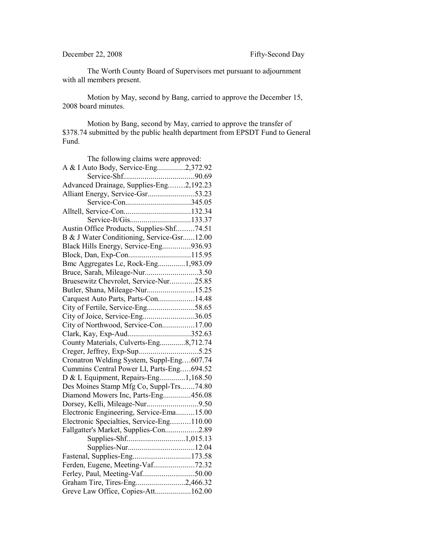## December 22, 2008 Fifty-Second Day

The Worth County Board of Supervisors met pursuant to adjournment with all members present.

Motion by May, second by Bang, carried to approve the December 15, 2008 board minutes.

Motion by Bang, second by May, carried to approve the transfer of \$378.74 submitted by the public health department from EPSDT Fund to General Fund.

| The following claims were approved:        |  |
|--------------------------------------------|--|
| A & I Auto Body, Service-Eng2,372.92       |  |
|                                            |  |
| Advanced Drainage, Supplies-Eng2,192.23    |  |
| Alliant Energy, Service-Gsr53.23           |  |
|                                            |  |
|                                            |  |
| Service-It/Gis133.37                       |  |
| Austin Office Products, Supplies-Shf74.51  |  |
| B & J Water Conditioning, Service-Gsr12.00 |  |
| Black Hills Energy, Service-Eng936.93      |  |
|                                            |  |
| Bmc Aggregates Lc, Rock-Eng1,983.09        |  |
| Bruce, Sarah, Mileage-Nur3.50              |  |
| Bruesewitz Chevrolet, Service-Nur25.85     |  |
| Butler, Shana, Mileage-Nur15.25            |  |
| Carquest Auto Parts, Parts-Con14.48        |  |
| City of Fertile, Service-Eng58.65          |  |
| City of Joice, Service-Eng36.05            |  |
| City of Northwood, Service-Con17.00        |  |
| Clark, Kay, Exp-Aud352.63                  |  |
| County Materials, Culverts-Eng8,712.74     |  |
|                                            |  |
| Cronatron Welding System, Suppl-Eng607.74  |  |
| Cummins Central Power Ll, Parts-Eng694.52  |  |
| D & L Equipment, Repairs-Eng1,168.50       |  |
| Des Moines Stamp Mfg Co, Suppl-Trs74.80    |  |
| Diamond Mowers Inc, Parts-Eng456.08        |  |
| Dorsey, Kelli, Mileage-Nur9.50             |  |
| Electronic Engineering, Service-Ema15.00   |  |
| Electronic Specialties, Service-Eng110.00  |  |
| Fallgatter's Market, Supplies-Con2.89      |  |
|                                            |  |
|                                            |  |
| Fastenal, Supplies-Eng173.58               |  |
| Ferden, Eugene, Meeting-Vaf72.32           |  |
| Ferley, Paul, Meeting-Vaf50.00             |  |
| Graham Tire, Tires-Eng2,466.32             |  |
| Greve Law Office, Copies-Att162.00         |  |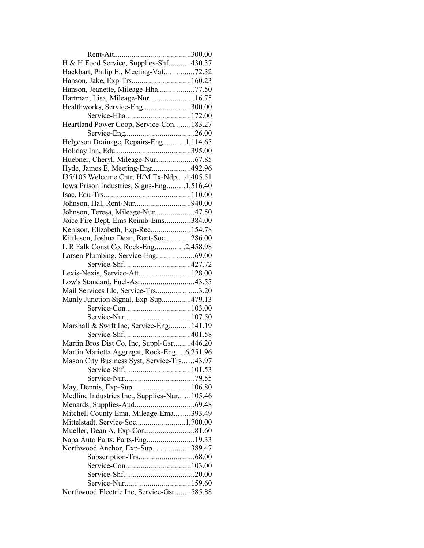| H & H Food Service, Supplies-Shf430.37      |  |
|---------------------------------------------|--|
| Hackbart, Philip E., Meeting-Vaf72.32       |  |
|                                             |  |
| Hanson, Jeanette, Mileage-Hha77.50          |  |
| Hartman, Lisa, Mileage-Nur16.75             |  |
| Healthworks, Service-Eng300.00              |  |
| Service-Hha172.00                           |  |
| Heartland Power Coop, Service-Con183.27     |  |
|                                             |  |
| Helgeson Drainage, Repairs-Eng1,114.65      |  |
|                                             |  |
| Huebner, Cheryl, Mileage-Nur67.85           |  |
| Hyde, James E, Meeting-Eng492.96            |  |
| 135/105 Welcome Cntr, H/M Tx-Ndp4,405.51    |  |
| Iowa Prison Industries, Signs-Eng1,516.40   |  |
|                                             |  |
|                                             |  |
| Johnson, Teresa, Mileage-Nur47.50           |  |
| Joice Fire Dept, Ems Reimb-Ems384.00        |  |
| Kenison, Elizabeth, Exp-Rec154.78           |  |
| Kittleson, Joshua Dean, Rent-Soc286.00      |  |
| L R Falk Const Co, Rock-Eng2,458.98         |  |
| Larsen Plumbing, Service-Eng69.00           |  |
|                                             |  |
| Lexis-Nexis, Service-Att128.00              |  |
| Low's Standard, Fuel-Asr43.55               |  |
| Mail Services Llc, Service-Trs3.20          |  |
| Manly Junction Signal, Exp-Sup479.13        |  |
|                                             |  |
|                                             |  |
| Marshall & Swift Inc, Service-Eng141.19     |  |
|                                             |  |
| Martin Bros Dist Co. Inc, Suppl-Gsr446.20   |  |
| Martin Marietta Aggregat, Rock-Eng6,251.96  |  |
| Mason City Business Syst, Service-Trs43.97  |  |
|                                             |  |
|                                             |  |
| May, Dennis, Exp-Sup106.80                  |  |
| Medline Industries Inc., Supplies-Nur105.46 |  |
|                                             |  |
| Mitchell County Ema, Mileage-Ema393.49      |  |
| Mittelstadt, Service-Soc1,700.00            |  |
|                                             |  |
| Napa Auto Parts, Parts-Eng19.33             |  |
| Northwood Anchor, Exp-Sup389.47             |  |
|                                             |  |
|                                             |  |
|                                             |  |
|                                             |  |
| Northwood Electric Inc, Service-Gsr585.88   |  |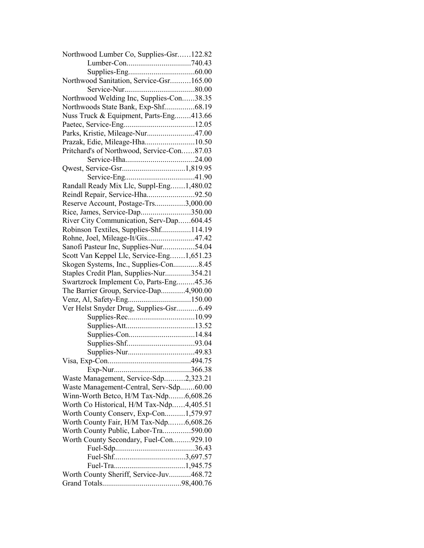| Northwood Lumber Co, Supplies-Gsr122.82    |  |
|--------------------------------------------|--|
|                                            |  |
|                                            |  |
| Northwood Sanitation, Service-Gsr165.00    |  |
|                                            |  |
| Northwood Welding Inc, Supplies-Con38.35   |  |
| Northwoods State Bank, Exp-Shf68.19        |  |
| Nuss Truck & Equipment, Parts-Eng413.66    |  |
|                                            |  |
| Parks, Kristie, Mileage-Nur47.00           |  |
| Prazak, Edie, Mileage-Hha10.50             |  |
| Pritchard's of Northwood, Service-Con87.03 |  |
|                                            |  |
|                                            |  |
|                                            |  |
| Randall Ready Mix Llc, Suppl-Eng1,480.02   |  |
| Reindl Repair, Service-Hha92.50            |  |
| Reserve Account, Postage-Trs3,000.00       |  |
| Rice, James, Service-Dap350.00             |  |
| River City Communication, Serv-Dap604.45   |  |
| Robinson Textiles, Supplies-Shf114.19      |  |
| Rohne, Joel, Mileage-It/Gis47.42           |  |
|                                            |  |
| Sanofi Pasteur Inc, Supplies-Nur54.04      |  |
| Scott Van Keppel Llc, Service-Eng1,651.23  |  |
| Skogen Systems, Inc., Supplies-Con8.45     |  |
| Staples Credit Plan, Supplies-Nur354.21    |  |
| Swartzrock Implement Co, Parts-Eng45.36    |  |
| The Barrier Group, Service-Dap4,900.00     |  |
|                                            |  |
| Ver Helst Snyder Drug, Supplies-Gsr6.49    |  |
|                                            |  |
|                                            |  |
|                                            |  |
|                                            |  |
|                                            |  |
|                                            |  |
|                                            |  |
| Waste Management, Service-Sdp2,323.21      |  |
| Waste Management-Central, Serv-Sdp60.00    |  |
| Winn-Worth Betco, H/M Tax-Ndp6,608.26      |  |
| Worth Co Historical, H/M Tax-Ndp4,405.51   |  |
| Worth County Conserv, Exp-Con1,579.97      |  |
| Worth County Fair, H/M Tax-Ndp6,608.26     |  |
| Worth County Public, Labor-Tra590.00       |  |
| Worth County Secondary, Fuel-Con929.10     |  |
|                                            |  |
|                                            |  |
|                                            |  |
| Worth County Sheriff, Service-Juv468.72    |  |
|                                            |  |